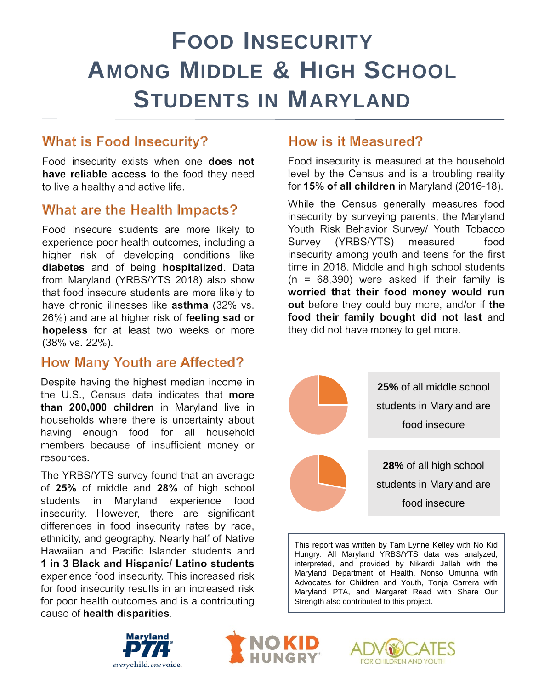# **FOOD INSECURITY AMONG MIDDLE & HIGH SCHOOL STUDENTS IN MARYLAND**

## **What is Food Insecurity?**

Food insecurity exists when one does not have reliable access to the food they need to live a healthy and active life.

### **What are the Health Impacts?**

Food insecure students are more likely to experience poor health outcomes, including a higher risk of developing conditions like diabetes and of being hospitalized. Data from Maryland (YRBS/YTS 2018) also show that food insecure students are more likely to have chronic illnesses like asthma (32% vs. 26%) and are at higher risk of feeling sad or hopeless for at least two weeks or more (38% vs. 22%).

#### **How Many Youth are Affected?**

Despite having the highest median income in the U.S., Census data indicates that more than 200,000 children in Maryland live in households where there is uncertainty about having enough food for all household members because of insufficient money or resources.

The YRBS/YTS survey found that an average of 25% of middle and 28% of high school students Maryland experience in food insecurity. However, there are significant differences in food insecurity rates by race, ethnicity, and geography. Nearly half of Native Hawaiian and Pacific Islander students and 1 in 3 Black and Hispanic/ Latino students experience food insecurity. This increased risk for food insecurity results in an increased risk for poor health outcomes and is a contributing cause of health disparities.

### How is it Measured?

Food insecurity is measured at the household level by the Census and is a troubling reality for 15% of all children in Maryland (2016-18).

While the Census generally measures food insecurity by surveying parents, the Maryland Youth Risk Behavior Survey/ Youth Tobacco Survey (YRBS/YTS) measured food insecurity among youth and teens for the first time in 2018. Middle and high school students  $(n = 68,390)$  were asked if their family is worried that their food money would run out before they could buy more, and/or if the food their family bought did not last and they did not have money to get more.



This report was written by Tam Lynne Kelley with No Kid Hungry. All Maryland YRBS/YTS data was analyzed, interpreted, and provided by Nikardi Jallah with the Maryland Department of Health. Nonso Umunna with Advocates for Children and Youth, Tonja Carrera with Maryland PTA, and Margaret Read with Share Our Strength also contributed to this project.





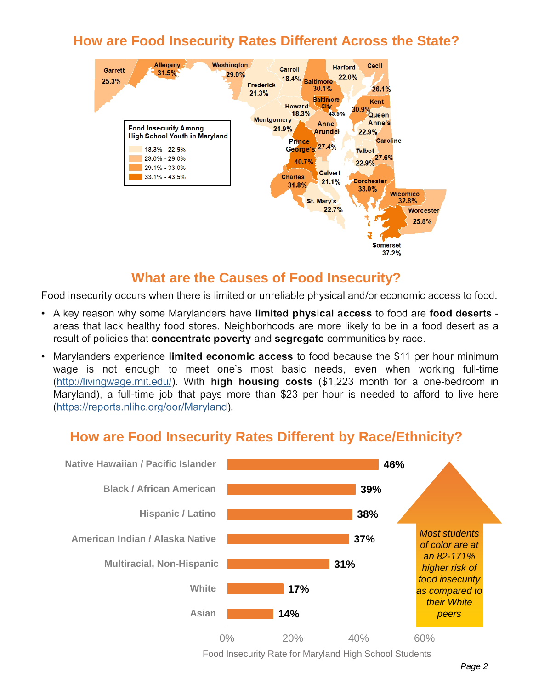## **How are Food Insecurity Rates Different Across the State?**



#### **What are the Causes of Food Insecurity?**

Food insecurity occurs when there is limited or unreliable physical and/or economic access to food.

- A key reason why some Marylanders have limited physical access to food are food deserts areas that lack healthy food stores. Neighborhoods are more likely to be in a food desert as a result of policies that concentrate poverty and segregate communities by race.
- Marylanders experience limited economic access to food because the \$11 per hour minimum wage is not enough to meet one's most basic needs, even when working full-time (http://livingwage.mit.edu/). With high housing costs (\$1,223 month for a one-bedroom in Maryland), a full-time job that pays more than \$23 per hour is needed to afford to live here (https://reports.nlihc.org/oor/Maryland).

## **How are Food Insecurity Rates Different by Race/Ethnicity?**



Food Insecurity Rate for Maryland High School Students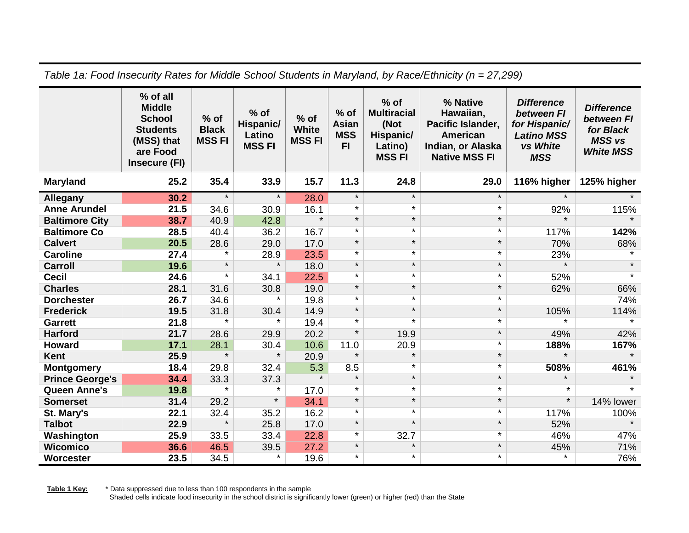| Table 1a: Food Insecurity Rates for Middle School Students in Maryland, by Race/Ethnicity (n = 27,299) |                                                                                                          |                                        |                                               |                                        |                                                        |                                                                              |                                                                                                     |                                                                                                 |                                                                                   |
|--------------------------------------------------------------------------------------------------------|----------------------------------------------------------------------------------------------------------|----------------------------------------|-----------------------------------------------|----------------------------------------|--------------------------------------------------------|------------------------------------------------------------------------------|-----------------------------------------------------------------------------------------------------|-------------------------------------------------------------------------------------------------|-----------------------------------------------------------------------------------|
|                                                                                                        | % of all<br><b>Middle</b><br><b>School</b><br><b>Students</b><br>(MSS) that<br>are Food<br>Insecure (FI) | $%$ of<br><b>Black</b><br><b>MSSFI</b> | $%$ of<br>Hispanic/<br>Latino<br><b>MSSFI</b> | $%$ of<br><b>White</b><br><b>MSSFI</b> | $%$ of<br><b>Asian</b><br><b>MSS</b><br>F <sub>1</sub> | $%$ of<br><b>Multiracial</b><br>(Not<br>Hispanic/<br>Latino)<br><b>MSSFI</b> | % Native<br>Hawaiian,<br>Pacific Islander,<br>American<br>Indian, or Alaska<br><b>Native MSS FI</b> | <b>Difference</b><br>between FI<br>for Hispanic/<br><b>Latino MSS</b><br>vs White<br><b>MSS</b> | <b>Difference</b><br>between FI<br>for Black<br><b>MSS vs</b><br><b>White MSS</b> |
| <b>Maryland</b>                                                                                        | 25.2                                                                                                     | 35.4                                   | 33.9                                          | 15.7                                   | 11.3                                                   | 24.8                                                                         | 29.0                                                                                                | 116% higher                                                                                     | 125% higher                                                                       |
| Allegany                                                                                               | 30.2                                                                                                     | $\star$                                | $\star$                                       | 28.0                                   | $\star$                                                | $\star$                                                                      | $\star$                                                                                             | $\star$                                                                                         |                                                                                   |
| <b>Anne Arundel</b>                                                                                    | 21.5                                                                                                     | 34.6                                   | 30.9                                          | 16.1                                   | $\star$                                                | $\star$                                                                      | $\star$                                                                                             | 92%                                                                                             | 115%                                                                              |
| <b>Baltimore City</b>                                                                                  | 38.7                                                                                                     | 40.9                                   | 42.8                                          | $\star$                                | $\star$                                                | $\star$                                                                      | $\star$                                                                                             | $\star$                                                                                         |                                                                                   |
| <b>Baltimore Co</b>                                                                                    | 28.5                                                                                                     | 40.4                                   | 36.2                                          | 16.7                                   | $\star$                                                | $\star$                                                                      | $\star$                                                                                             | 117%                                                                                            | 142%                                                                              |
| <b>Calvert</b>                                                                                         | 20.5                                                                                                     | 28.6                                   | 29.0                                          | 17.0                                   | $\star$                                                | $\star$                                                                      | $\star$                                                                                             | 70%                                                                                             | 68%                                                                               |
| <b>Caroline</b>                                                                                        | 27.4                                                                                                     | $\star$                                | 28.9                                          | 23.5                                   | $\star$                                                | $\star$                                                                      | $\star$                                                                                             | 23%                                                                                             |                                                                                   |
| Carroll                                                                                                | 19.6                                                                                                     | $\star$                                | $\star$                                       | 18.0                                   | $\star$                                                | $\star$                                                                      | $\star$                                                                                             | $\star$                                                                                         | $\star$                                                                           |
| <b>Cecil</b>                                                                                           | 24.6                                                                                                     | $\star$                                | 34.1                                          | 22.5                                   | $\star$                                                | $\star$                                                                      | $\star$                                                                                             | 52%                                                                                             | $\star$                                                                           |
| <b>Charles</b>                                                                                         | 28.1                                                                                                     | 31.6                                   | 30.8                                          | 19.0                                   | $\star$                                                | $\star$                                                                      | $\star$                                                                                             | 62%                                                                                             | 66%                                                                               |
| <b>Dorchester</b>                                                                                      | 26.7                                                                                                     | 34.6                                   | $\star$                                       | 19.8                                   | $\star$                                                | $\star$                                                                      | $\star$                                                                                             |                                                                                                 | 74%                                                                               |
| <b>Frederick</b>                                                                                       | 19.5                                                                                                     | 31.8                                   | 30.4                                          | 14.9                                   | $\star$                                                | $\star$                                                                      | $\star$                                                                                             | 105%                                                                                            | 114%                                                                              |
| <b>Garrett</b>                                                                                         | 21.8                                                                                                     | $\star$                                | $\star$                                       | 19.4                                   | $\star$                                                | $\star$                                                                      | $\star$                                                                                             |                                                                                                 |                                                                                   |
| <b>Harford</b>                                                                                         | 21.7                                                                                                     | 28.6                                   | 29.9                                          | 20.2                                   | $\star$                                                | 19.9                                                                         | $\star$                                                                                             | 49%                                                                                             | 42%                                                                               |
| <b>Howard</b>                                                                                          | 17.1                                                                                                     | 28.1                                   | 30.4                                          | 10.6                                   | 11.0                                                   | 20.9                                                                         | $\star$                                                                                             | 188%                                                                                            | 167%                                                                              |
| Kent                                                                                                   | 25.9                                                                                                     | $\star$                                | $\star$                                       | 20.9                                   | $\star$                                                | $\star$                                                                      | $\star$                                                                                             | $\star$                                                                                         | $\star$                                                                           |
| <b>Montgomery</b>                                                                                      | 18.4                                                                                                     | 29.8                                   | 32.4                                          | 5.3                                    | 8.5                                                    | $\star$                                                                      | $\star$                                                                                             | 508%                                                                                            | 461%                                                                              |
| <b>Prince George's</b>                                                                                 | 34.4                                                                                                     | 33.3                                   | 37.3                                          | $\star$                                | $\star$                                                | $\star$                                                                      | $\star$                                                                                             | $\star$                                                                                         |                                                                                   |
| <b>Queen Anne's</b>                                                                                    | 19.8                                                                                                     | $\star$                                | $\star$                                       | 17.0                                   | $\star$                                                | $\star$                                                                      | $\star$                                                                                             | $\star$                                                                                         | $\star$                                                                           |
| <b>Somerset</b>                                                                                        | 31.4                                                                                                     | 29.2                                   | $\star$                                       | 34.1                                   | $\star$                                                | $\star$                                                                      | $\star$                                                                                             | $\star$                                                                                         | 14% lower                                                                         |
| St. Mary's                                                                                             | 22.1                                                                                                     | 32.4                                   | 35.2                                          | 16.2                                   | $\star$                                                | $\star$                                                                      | $\star$                                                                                             | 117%                                                                                            | 100%                                                                              |
| <b>Talbot</b>                                                                                          | 22.9                                                                                                     | $\star$                                | 25.8                                          | 17.0                                   | $\star$                                                | $\star$                                                                      | $\star$                                                                                             | 52%                                                                                             | $\star$                                                                           |
| Washington                                                                                             | 25.9                                                                                                     | 33.5                                   | 33.4                                          | 22.8                                   | $\star$                                                | 32.7                                                                         | $\star$                                                                                             | 46%                                                                                             | 47%                                                                               |
| <b>Wicomico</b>                                                                                        | 36.6                                                                                                     | 46.5                                   | 39.5                                          | 27.2                                   | $\star$                                                | $\star$                                                                      | $\star$                                                                                             | 45%                                                                                             | 71%                                                                               |
| Worcester                                                                                              | 23.5                                                                                                     | 34.5                                   | $\star$                                       | 19.6                                   | $\star$                                                | $\star$                                                                      | $\star$                                                                                             | $\star$                                                                                         | 76%                                                                               |

**Table 1 Key:** \* Data suppressed due to less than 100 respondents in the sample Shaded cells indicate food insecurity in the school district is significantly lower (green) or higher (red) than the State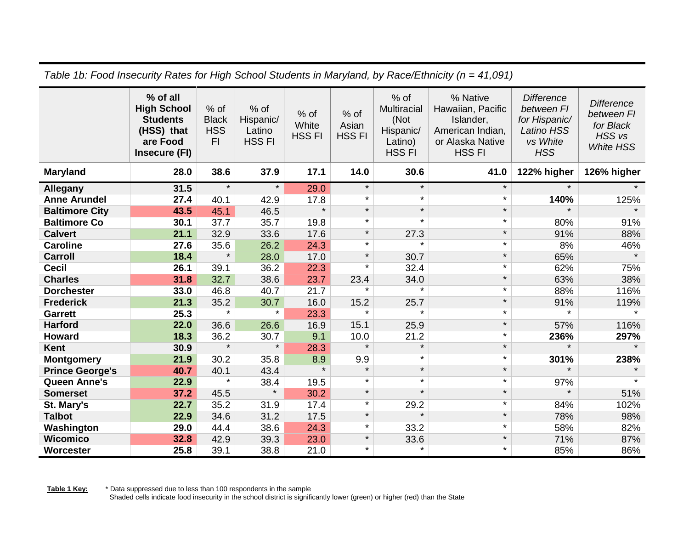| , alono , lo, , o o a m lo o o al luy<br>$\frac{1}{2}$ and $\frac{1}{2}$ . The state of the state in the state $\frac{1}{2}$ is the state in the state $\frac{1}{2}$ |                                                                                              |                                          |                                                |                                |                                  |                                                                        |                                                                                                     |                                                                                                 |                                                                                       |
|----------------------------------------------------------------------------------------------------------------------------------------------------------------------|----------------------------------------------------------------------------------------------|------------------------------------------|------------------------------------------------|--------------------------------|----------------------------------|------------------------------------------------------------------------|-----------------------------------------------------------------------------------------------------|-------------------------------------------------------------------------------------------------|---------------------------------------------------------------------------------------|
|                                                                                                                                                                      | % of all<br><b>High School</b><br><b>Students</b><br>(HSS) that<br>are Food<br>Insecure (FI) | % of<br><b>Black</b><br><b>HSS</b><br>F1 | $%$ of<br>Hispanic/<br>Latino<br><b>HSS FI</b> | % of<br>White<br><b>HSS FI</b> | $%$ of<br>Asian<br><b>HSS FI</b> | $%$ of<br>Multiracial<br>(Not<br>Hispanic/<br>Latino)<br><b>HSS FI</b> | % Native<br>Hawaiian, Pacific<br>Islander,<br>American Indian,<br>or Alaska Native<br><b>HSS FI</b> | <b>Difference</b><br>between FI<br>for Hispanic/<br><b>Latino HSS</b><br>vs White<br><b>HSS</b> | <b>Difference</b><br>between FI<br>for Black<br>HSS <sub>vs</sub><br><b>White HSS</b> |
| <b>Maryland</b>                                                                                                                                                      | 28.0                                                                                         | 38.6                                     | 37.9                                           | 17.1                           | 14.0                             | 30.6                                                                   | 41.0                                                                                                | 122% higher                                                                                     | 126% higher                                                                           |
| <b>Allegany</b>                                                                                                                                                      | 31.5                                                                                         | $\star$                                  | $\star$                                        | 29.0                           | $\star$                          | $\star$                                                                | $\star$                                                                                             | $\star$                                                                                         |                                                                                       |
| <b>Anne Arundel</b>                                                                                                                                                  | 27.4                                                                                         | 40.1                                     | 42.9                                           | 17.8                           | $\star$                          | $\star$                                                                | $\star$                                                                                             | 140%                                                                                            | 125%                                                                                  |
| <b>Baltimore City</b>                                                                                                                                                | 43.5                                                                                         | 45.1                                     | 46.5                                           | $\star$                        | $\star$                          | $\star$                                                                | $\star$                                                                                             | $\star$                                                                                         | $\star$                                                                               |
| <b>Baltimore Co</b>                                                                                                                                                  | 30.1                                                                                         | 37.7                                     | 35.7                                           | 19.8                           | $\star$                          | $\star$                                                                | $\star$                                                                                             | 80%                                                                                             | 91%                                                                                   |
| <b>Calvert</b>                                                                                                                                                       | 21.1                                                                                         | 32.9                                     | 33.6                                           | 17.6                           | $\star$                          | 27.3                                                                   | $\star$                                                                                             | 91%                                                                                             | 88%                                                                                   |
| <b>Caroline</b>                                                                                                                                                      | 27.6                                                                                         | 35.6                                     | 26.2                                           | 24.3                           | $\star$                          | $\star$                                                                | $\star$                                                                                             | 8%                                                                                              | 46%                                                                                   |
| <b>Carroll</b>                                                                                                                                                       | 18.4                                                                                         | $\star$                                  | 28.0                                           | 17.0                           | $\star$                          | 30.7                                                                   | $\star$                                                                                             | 65%                                                                                             | $\star$                                                                               |
| <b>Cecil</b>                                                                                                                                                         | 26.1                                                                                         | 39.1                                     | 36.2                                           | 22.3                           | $\star$                          | 32.4                                                                   | $\star$                                                                                             | 62%                                                                                             | 75%                                                                                   |
| <b>Charles</b>                                                                                                                                                       | 31.8                                                                                         | 32.7                                     | 38.6                                           | 23.7                           | 23.4                             | 34.0                                                                   | $\star$                                                                                             | 63%                                                                                             | 38%                                                                                   |
| <b>Dorchester</b>                                                                                                                                                    | 33.0                                                                                         | 46.8                                     | 40.7                                           | 21.7                           | $\star$                          | $\star$                                                                | $\star$                                                                                             | 88%                                                                                             | 116%                                                                                  |
| <b>Frederick</b>                                                                                                                                                     | 21.3                                                                                         | 35.2                                     | 30.7                                           | 16.0                           | 15.2                             | 25.7                                                                   | $\star$                                                                                             | 91%                                                                                             | 119%                                                                                  |
| <b>Garrett</b>                                                                                                                                                       | 25.3                                                                                         | $\star$                                  | $\star$                                        | 23.3                           | $\star$                          | $\star$                                                                | $\star$                                                                                             | $\star$                                                                                         | $\star$                                                                               |
| <b>Harford</b>                                                                                                                                                       | 22.0                                                                                         | 36.6                                     | 26.6                                           | 16.9                           | 15.1                             | 25.9                                                                   | $\star$                                                                                             | 57%                                                                                             | 116%                                                                                  |
| <b>Howard</b>                                                                                                                                                        | 18.3                                                                                         | 36.2                                     | 30.7                                           | 9.1                            | 10.0                             | 21.2                                                                   | $\star$                                                                                             | 236%                                                                                            | 297%                                                                                  |
| Kent                                                                                                                                                                 | 30.9                                                                                         | $\star$                                  | $\star$                                        | 28.3                           | $\star$                          | $\star$                                                                | $\star$                                                                                             | $\star$                                                                                         | $\star$                                                                               |
| <b>Montgomery</b>                                                                                                                                                    | 21.9                                                                                         | 30.2                                     | 35.8                                           | 8.9                            | 9.9                              | $\star$                                                                | $\star$                                                                                             | 301%                                                                                            | 238%                                                                                  |
| <b>Prince George's</b>                                                                                                                                               | 40.7                                                                                         | 40.1                                     | 43.4                                           | $\star$                        | $\star$                          | $\star$                                                                | $\star$                                                                                             | $\star$                                                                                         |                                                                                       |
| <b>Queen Anne's</b>                                                                                                                                                  | 22.9                                                                                         | $\star$                                  | 38.4                                           | 19.5                           | $\star$                          | $\star$                                                                | $\star$                                                                                             | 97%                                                                                             | $\star$                                                                               |
| <b>Somerset</b>                                                                                                                                                      | 37.2                                                                                         | 45.5                                     | $\star$                                        | 30.2                           | $\star$                          | $\star$                                                                | $\star$                                                                                             | $\star$                                                                                         | 51%                                                                                   |
| St. Mary's                                                                                                                                                           | 22.7                                                                                         | 35.2                                     | 31.9                                           | 17.4                           | $\star$                          | 29.2                                                                   | $\star$                                                                                             | 84%                                                                                             | 102%                                                                                  |
| <b>Talbot</b>                                                                                                                                                        | 22.9                                                                                         | 34.6                                     | 31.2                                           | 17.5                           | $\star$                          | $\star$                                                                | $\star$                                                                                             | 78%                                                                                             | 98%                                                                                   |
| Washington                                                                                                                                                           | 29.0                                                                                         | 44.4                                     | 38.6                                           | 24.3                           | $\star$                          | 33.2                                                                   | $\star$                                                                                             | 58%                                                                                             | 82%                                                                                   |
| <b>Wicomico</b>                                                                                                                                                      | 32.8                                                                                         | 42.9                                     | 39.3                                           | 23.0                           | $\star$                          | 33.6                                                                   | $\star$                                                                                             | 71%                                                                                             | 87%                                                                                   |
| Worcester                                                                                                                                                            | 25.8                                                                                         | 39.1                                     | 38.8                                           | 21.0                           | $\star$                          | $\star$                                                                | $\star$                                                                                             | 85%                                                                                             | 86%                                                                                   |

*Table 1b: Food Insecurity Rates for High School Students in Maryland, by Race/Ethnicity (n = 41,091)*

**Table 1 Key:** \* Data suppressed due to less than 100 respondents in the sample Shaded cells indicate food insecurity in the school district is significantly lower (green) or higher (red) than the State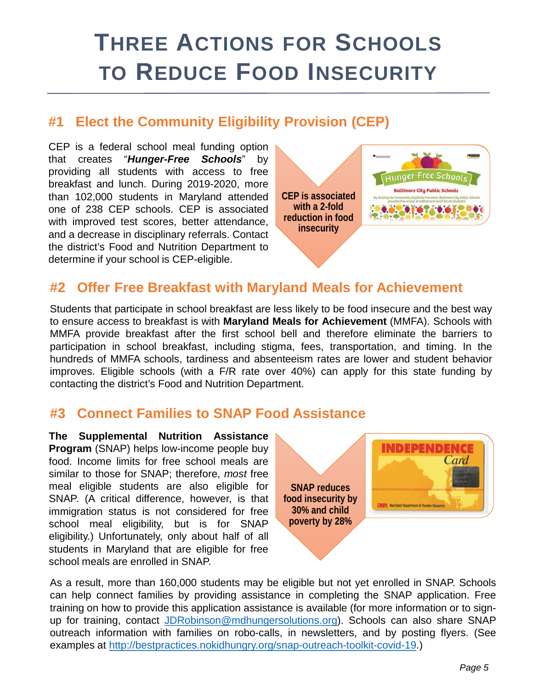# **THREE ACTIONS FOR SCHOOLS TO REDUCE FOOD INSECURITY**

## **#1 Elect the Community Eligibility Provision (CEP)**

CEP is a federal school meal funding option that creates "*Hunger-Free Schools*" by providing all students with access to free breakfast and lunch. During 2019-2020, more than 102,000 students in Maryland attended one of 238 CEP schools. CEP is associated with improved test scores, better attendance, and a decrease in disciplinary referrals. Contact the district's Food and Nutrition Department to determine if your school is CEP-eligible.



### **#2 Offer Free Breakfast with Maryland Meals for Achievement**

Students that participate in school breakfast are less likely to be food insecure and the best way to ensure access to breakfast is with **Maryland Meals for Achievement** (MMFA). Schools with MMFA provide breakfast after the first school bell and therefore eliminate the barriers to participation in school breakfast, including stigma, fees, transportation, and timing. In the hundreds of MMFA schools, tardiness and absenteeism rates are lower and student behavior improves. Eligible schools (with a F/R rate over 40%) can apply for this state funding by contacting the district's Food and Nutrition Department.

## **#3 Connect Families to SNAP Food Assistance**

**The Supplemental Nutrition Assistance Program** (SNAP) helps low-income people buy food. Income limits for free school meals are similar to those for SNAP; therefore, *most* free meal eligible students are also eligible for SNAP. (A critical difference, however, is that immigration status is not considered for free school meal eligibility, but is for SNAP eligibility.) Unfortunately, only about half of all students in Maryland that are eligible for free school meals are enrolled in SNAP.



As a result, more than 160,000 students may be eligible but not yet enrolled in SNAP. Schools can help connect families by providing assistance in completing the SNAP application. Free training on how to provide this application assistance is available (for more information or to signup for training, contact [JDRobinson@mdhungersolutions.org\)](mailto:JDRobinson@mdhungersolutions.org). Schools can also share SNAP outreach information with families on robo-calls, in newsletters, and by posting flyers. (See examples at [http://bestpractices.nokidhungry.org/snap-outreach-toolkit-covid-19.](http://bestpractices.nokidhungry.org/snap-outreach-toolkit-covid-19))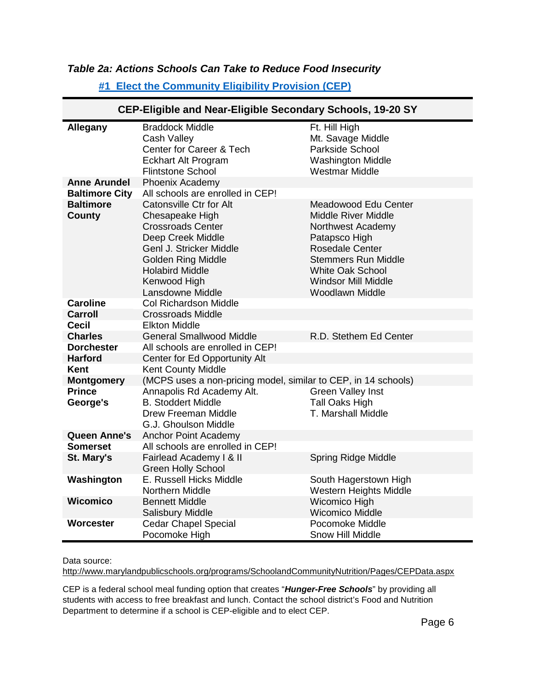#### *Table 2a: Actions Schools Can Take to Reduce Food Insecurity*

| CEP-Eligible and Near-Eligible Secondary Schools, 19-20 SY |                                                                                                                                                                                                                          |                                                                                                                                                                                                                                     |  |  |  |
|------------------------------------------------------------|--------------------------------------------------------------------------------------------------------------------------------------------------------------------------------------------------------------------------|-------------------------------------------------------------------------------------------------------------------------------------------------------------------------------------------------------------------------------------|--|--|--|
| <b>Allegany</b>                                            | <b>Braddock Middle</b><br>Cash Valley<br>Center for Career & Tech<br><b>Eckhart Alt Program</b><br><b>Flintstone School</b>                                                                                              | Ft. Hill High<br>Mt. Savage Middle<br>Parkside School<br><b>Washington Middle</b><br><b>Westmar Middle</b>                                                                                                                          |  |  |  |
| <b>Anne Arundel</b>                                        | Phoenix Academy                                                                                                                                                                                                          |                                                                                                                                                                                                                                     |  |  |  |
| <b>Baltimore City</b>                                      | All schools are enrolled in CEP!                                                                                                                                                                                         |                                                                                                                                                                                                                                     |  |  |  |
| <b>Baltimore</b><br>County                                 | <b>Catonsville Ctr for Alt</b><br>Chesapeake High<br><b>Crossroads Center</b><br>Deep Creek Middle<br>Genl J. Stricker Middle<br><b>Golden Ring Middle</b><br><b>Holabird Middle</b><br>Kenwood High<br>Lansdowne Middle | <b>Meadowood Edu Center</b><br><b>Middle River Middle</b><br>Northwest Academy<br>Patapsco High<br><b>Rosedale Center</b><br><b>Stemmers Run Middle</b><br><b>White Oak School</b><br><b>Windsor Mill Middle</b><br>Woodlawn Middle |  |  |  |
| <b>Caroline</b>                                            | <b>Col Richardson Middle</b>                                                                                                                                                                                             |                                                                                                                                                                                                                                     |  |  |  |
| <b>Carroll</b>                                             | <b>Crossroads Middle</b>                                                                                                                                                                                                 |                                                                                                                                                                                                                                     |  |  |  |
| Cecil                                                      | <b>Elkton Middle</b>                                                                                                                                                                                                     |                                                                                                                                                                                                                                     |  |  |  |
| <b>Charles</b>                                             | <b>General Smallwood Middle</b>                                                                                                                                                                                          | R.D. Stethem Ed Center                                                                                                                                                                                                              |  |  |  |
| <b>Dorchester</b>                                          | All schools are enrolled in CEP!                                                                                                                                                                                         |                                                                                                                                                                                                                                     |  |  |  |
| <b>Harford</b>                                             | Center for Ed Opportunity Alt                                                                                                                                                                                            |                                                                                                                                                                                                                                     |  |  |  |
| Kent                                                       | Kent County Middle                                                                                                                                                                                                       |                                                                                                                                                                                                                                     |  |  |  |
| <b>Montgomery</b>                                          | (MCPS uses a non-pricing model, similar to CEP, in 14 schools)                                                                                                                                                           |                                                                                                                                                                                                                                     |  |  |  |
| <b>Prince</b><br>George's                                  | Annapolis Rd Academy Alt.<br><b>B. Stoddert Middle</b><br><b>Drew Freeman Middle</b><br>G.J. Ghoulson Middle                                                                                                             | <b>Green Valley Inst</b><br><b>Tall Oaks High</b><br>T. Marshall Middle                                                                                                                                                             |  |  |  |
| <b>Queen Anne's</b>                                        | <b>Anchor Point Academy</b>                                                                                                                                                                                              |                                                                                                                                                                                                                                     |  |  |  |
| <b>Somerset</b><br>St. Mary's                              | All schools are enrolled in CEP!<br>Fairlead Academy I & II<br><b>Green Holly School</b>                                                                                                                                 | <b>Spring Ridge Middle</b>                                                                                                                                                                                                          |  |  |  |
| Washington                                                 | E. Russell Hicks Middle<br><b>Northern Middle</b>                                                                                                                                                                        | South Hagerstown High<br>Western Heights Middle                                                                                                                                                                                     |  |  |  |
| Wicomico                                                   | <b>Bennett Middle</b><br><b>Salisbury Middle</b>                                                                                                                                                                         | Wicomico High<br><b>Wicomico Middle</b>                                                                                                                                                                                             |  |  |  |
| Worcester                                                  | <b>Cedar Chapel Special</b><br>Pocomoke High                                                                                                                                                                             | Pocomoke Middle<br><b>Snow Hill Middle</b>                                                                                                                                                                                          |  |  |  |

#### **[#1 Elect the Community Eligibility Provision \(CEP\)](https://state.nokidhungry.org/maryland/whatwedo/community-eligibility-provision-cep/)**

Data source:

<http://www.marylandpublicschools.org/programs/SchoolandCommunityNutrition/Pages/CEPData.aspx>

CEP is a federal school meal funding option that creates "*Hunger-Free Schools*" by providing all students with access to free breakfast and lunch. Contact the school district's Food and Nutrition Department to determine if a school is CEP-eligible and to elect CEP.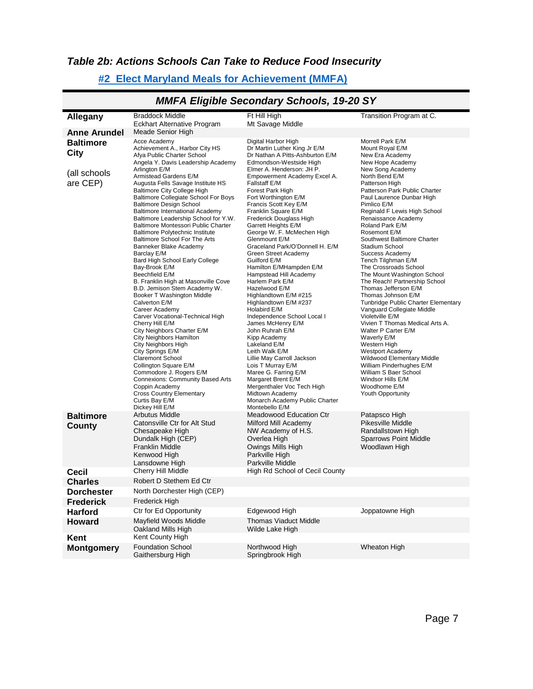#### *Table 2b: Actions Schools Can Take to Reduce Food Insecurity*

#### **[#2 Elect Maryland Meals for Achievement \(MMFA\)](https://state.nokidhungry.org/maryland/whatwedo/school-breakfast/)**

|                                   |                                                                                                                                                                                                                                                                                                                                                                                                                                                                                                                                                                                                                                                                                                                                                                                                                                                                                                                                                                                                                               | $m m \wedge L m$                                                                                                                                                                                                                                                                                                                                                                                                                                                                                                                                                                                                                                                                                                                                                                                                                                    |                                                                                                                                                                                                                                                                                                                                                                                                                                                                                                                                                                                                                                                                                                                                                                                                                              |
|-----------------------------------|-------------------------------------------------------------------------------------------------------------------------------------------------------------------------------------------------------------------------------------------------------------------------------------------------------------------------------------------------------------------------------------------------------------------------------------------------------------------------------------------------------------------------------------------------------------------------------------------------------------------------------------------------------------------------------------------------------------------------------------------------------------------------------------------------------------------------------------------------------------------------------------------------------------------------------------------------------------------------------------------------------------------------------|-----------------------------------------------------------------------------------------------------------------------------------------------------------------------------------------------------------------------------------------------------------------------------------------------------------------------------------------------------------------------------------------------------------------------------------------------------------------------------------------------------------------------------------------------------------------------------------------------------------------------------------------------------------------------------------------------------------------------------------------------------------------------------------------------------------------------------------------------------|------------------------------------------------------------------------------------------------------------------------------------------------------------------------------------------------------------------------------------------------------------------------------------------------------------------------------------------------------------------------------------------------------------------------------------------------------------------------------------------------------------------------------------------------------------------------------------------------------------------------------------------------------------------------------------------------------------------------------------------------------------------------------------------------------------------------------|
| Allegany                          | <b>Braddock Middle</b><br><b>Eckhart Alternative Program</b>                                                                                                                                                                                                                                                                                                                                                                                                                                                                                                                                                                                                                                                                                                                                                                                                                                                                                                                                                                  | Ft Hill High<br>Mt Savage Middle                                                                                                                                                                                                                                                                                                                                                                                                                                                                                                                                                                                                                                                                                                                                                                                                                    | Transition Program at C.                                                                                                                                                                                                                                                                                                                                                                                                                                                                                                                                                                                                                                                                                                                                                                                                     |
| <b>Anne Arundel</b>               | Meade Senior High                                                                                                                                                                                                                                                                                                                                                                                                                                                                                                                                                                                                                                                                                                                                                                                                                                                                                                                                                                                                             |                                                                                                                                                                                                                                                                                                                                                                                                                                                                                                                                                                                                                                                                                                                                                                                                                                                     |                                                                                                                                                                                                                                                                                                                                                                                                                                                                                                                                                                                                                                                                                                                                                                                                                              |
| <b>Baltimore</b><br>City          | Acce Academy<br>Achievement A., Harbor City HS<br>Afya Public Charter School<br>Angela Y. Davis Leadership Academy                                                                                                                                                                                                                                                                                                                                                                                                                                                                                                                                                                                                                                                                                                                                                                                                                                                                                                            | Digital Harbor High<br>Dr Martin Luther King Jr E/M<br>Dr Nathan A Pitts-Ashburton E/M<br>Edmondson-Westside High                                                                                                                                                                                                                                                                                                                                                                                                                                                                                                                                                                                                                                                                                                                                   | Morrell Park E/M<br>Mount Royal E/M<br>New Era Academy<br>New Hope Academy                                                                                                                                                                                                                                                                                                                                                                                                                                                                                                                                                                                                                                                                                                                                                   |
| (all schools<br>are CEP)          | Arlington E/M<br>Armistead Gardens E/M<br>Augusta Fells Savage Institute HS<br><b>Baltimore City College High</b><br>Baltimore Collegiate School For Boys<br><b>Baltimore Design School</b><br>Baltimore International Academy<br>Baltimore Leadership School for Y.W.<br>Baltimore Montessori Public Charter<br><b>Baltimore Polytechnic Institute</b><br>Baltimore School For The Arts<br>Banneker Blake Academy<br>Barclay E/M<br>Bard High School Early College<br>Bay-Brook E/M<br>Beechfield E/M<br>B. Franklin High at Masonville Cove<br>B.D. Jemison Stem Academy W.<br>Booker T Washington Middle<br>Calverton E/M<br>Career Academy<br>Carver Vocational-Technical High<br>Cherry Hill E/M<br>City Neighbors Charter E/M<br>City Neighbors Hamilton<br>City Neighbors High<br>City Springs E/M<br><b>Claremont School</b><br>Collington Square E/M<br>Commodore J. Rogers E/M<br><b>Connexions: Community Based Arts</b><br>Coppin Academy<br><b>Cross Country Elementary</b><br>Curtis Bay E/M<br>Dickey Hill E/M | Elmer A. Henderson: JH P.<br>Empowerment Academy Excel A.<br>Fallstaff E/M<br>Forest Park High<br>Fort Worthington E/M<br>Francis Scott Key E/M<br>Franklin Square E/M<br>Frederick Douglass High<br>Garrett Heights E/M<br>George W. F. McMechen High<br>Glenmount E/M<br>Graceland Park/O'Donnell H. E/M<br><b>Green Street Academy</b><br>Guilford E/M<br>Hamilton E/MHampden E/M<br>Hampstead Hill Academy<br>Harlem Park E/M<br>Hazelwood E/M<br>Highlandtown E/M #215<br>Highlandtown E/M #237<br>Holabird E/M<br>Independence School Local I<br>James McHenry E/M<br>John Ruhrah E/M<br>Kipp Academy<br>Lakeland E/M<br>Leith Walk E/M<br>Lillie May Carroll Jackson<br>Lois T Murray E/M<br>Maree G. Farring E/M<br>Margaret Brent E/M<br>Mergenthaler Voc Tech High<br>Midtown Academy<br>Monarch Academy Public Charter<br>Montebello E/M | New Song Academy<br>North Bend E/M<br>Patterson High<br>Patterson Park Public Charter<br>Paul Laurence Dunbar High<br>Pimlico E/M<br>Reginald F Lewis High School<br>Renaissance Academy<br>Roland Park E/M<br>Rosemont E/M<br>Southwest Baltimore Charter<br>Stadium School<br>Success Academy<br>Tench Tilghman E/M<br>The Crossroads School<br>The Mount Washington School<br>The Reach! Partnership School<br>Thomas Jefferson E/M<br>Thomas Johnson E/M<br>Tunbridge Public Charter Elementary<br>Vanguard Collegiate Middle<br>Violetville E/M<br>Vivien T Thomas Medical Arts A.<br>Walter P Carter E/M<br>Waverly E/M<br>Western High<br><b>Westport Academy</b><br>Wildwood Elementary Middle<br>William Pinderhughes E/M<br>William S Baer School<br>Windsor Hills E/M<br>Woodhome E/M<br><b>Youth Opportunity</b> |
| <b>Baltimore</b><br><b>County</b> | Arbutus Middle<br>Catonsville Ctr for Alt Stud<br>Chesapeake High<br>Dundalk High (CEP)<br><b>Franklin Middle</b><br>Kenwood High<br>Lansdowne High                                                                                                                                                                                                                                                                                                                                                                                                                                                                                                                                                                                                                                                                                                                                                                                                                                                                           | Meadowood Education Ctr<br>Milford Mill Academy<br>NW Academy of H.S.<br>Overlea High<br>Owings Mills High<br>Parkville High<br>Parkville Middle                                                                                                                                                                                                                                                                                                                                                                                                                                                                                                                                                                                                                                                                                                    | Patapsco High<br>Pikesville Middle<br>Randallstown High<br><b>Sparrows Point Middle</b><br>Woodlawn High                                                                                                                                                                                                                                                                                                                                                                                                                                                                                                                                                                                                                                                                                                                     |
| <b>Cecil</b>                      | Cherry Hill Middle                                                                                                                                                                                                                                                                                                                                                                                                                                                                                                                                                                                                                                                                                                                                                                                                                                                                                                                                                                                                            | High Rd School of Cecil County                                                                                                                                                                                                                                                                                                                                                                                                                                                                                                                                                                                                                                                                                                                                                                                                                      |                                                                                                                                                                                                                                                                                                                                                                                                                                                                                                                                                                                                                                                                                                                                                                                                                              |
| <b>Charles</b>                    | Robert D Stethem Ed Ctr                                                                                                                                                                                                                                                                                                                                                                                                                                                                                                                                                                                                                                                                                                                                                                                                                                                                                                                                                                                                       |                                                                                                                                                                                                                                                                                                                                                                                                                                                                                                                                                                                                                                                                                                                                                                                                                                                     |                                                                                                                                                                                                                                                                                                                                                                                                                                                                                                                                                                                                                                                                                                                                                                                                                              |
|                                   |                                                                                                                                                                                                                                                                                                                                                                                                                                                                                                                                                                                                                                                                                                                                                                                                                                                                                                                                                                                                                               |                                                                                                                                                                                                                                                                                                                                                                                                                                                                                                                                                                                                                                                                                                                                                                                                                                                     |                                                                                                                                                                                                                                                                                                                                                                                                                                                                                                                                                                                                                                                                                                                                                                                                                              |
| Dorchester                        | North Dorchester High (CEP)                                                                                                                                                                                                                                                                                                                                                                                                                                                                                                                                                                                                                                                                                                                                                                                                                                                                                                                                                                                                   |                                                                                                                                                                                                                                                                                                                                                                                                                                                                                                                                                                                                                                                                                                                                                                                                                                                     |                                                                                                                                                                                                                                                                                                                                                                                                                                                                                                                                                                                                                                                                                                                                                                                                                              |
| <b>Frederick</b>                  | Frederick High                                                                                                                                                                                                                                                                                                                                                                                                                                                                                                                                                                                                                                                                                                                                                                                                                                                                                                                                                                                                                |                                                                                                                                                                                                                                                                                                                                                                                                                                                                                                                                                                                                                                                                                                                                                                                                                                                     |                                                                                                                                                                                                                                                                                                                                                                                                                                                                                                                                                                                                                                                                                                                                                                                                                              |
| <b>Harford</b><br><b>Howard</b>   | Ctr for Ed Opportunity<br>Mayfield Woods Middle                                                                                                                                                                                                                                                                                                                                                                                                                                                                                                                                                                                                                                                                                                                                                                                                                                                                                                                                                                               | Edgewood High<br><b>Thomas Viaduct Middle</b>                                                                                                                                                                                                                                                                                                                                                                                                                                                                                                                                                                                                                                                                                                                                                                                                       | Joppatowne High                                                                                                                                                                                                                                                                                                                                                                                                                                                                                                                                                                                                                                                                                                                                                                                                              |
|                                   | Oakland Mills High                                                                                                                                                                                                                                                                                                                                                                                                                                                                                                                                                                                                                                                                                                                                                                                                                                                                                                                                                                                                            | Wilde Lake High                                                                                                                                                                                                                                                                                                                                                                                                                                                                                                                                                                                                                                                                                                                                                                                                                                     |                                                                                                                                                                                                                                                                                                                                                                                                                                                                                                                                                                                                                                                                                                                                                                                                                              |
| Kent                              | Kent County High                                                                                                                                                                                                                                                                                                                                                                                                                                                                                                                                                                                                                                                                                                                                                                                                                                                                                                                                                                                                              |                                                                                                                                                                                                                                                                                                                                                                                                                                                                                                                                                                                                                                                                                                                                                                                                                                                     |                                                                                                                                                                                                                                                                                                                                                                                                                                                                                                                                                                                                                                                                                                                                                                                                                              |
| <b>Montgomery</b>                 | <b>Foundation School</b><br>Gaithersburg High                                                                                                                                                                                                                                                                                                                                                                                                                                                                                                                                                                                                                                                                                                                                                                                                                                                                                                                                                                                 | Northwood High<br>Springbrook High                                                                                                                                                                                                                                                                                                                                                                                                                                                                                                                                                                                                                                                                                                                                                                                                                  | Wheaton High                                                                                                                                                                                                                                                                                                                                                                                                                                                                                                                                                                                                                                                                                                                                                                                                                 |

#### *MMFA Eligible Secondary Schools, 19-20 SY*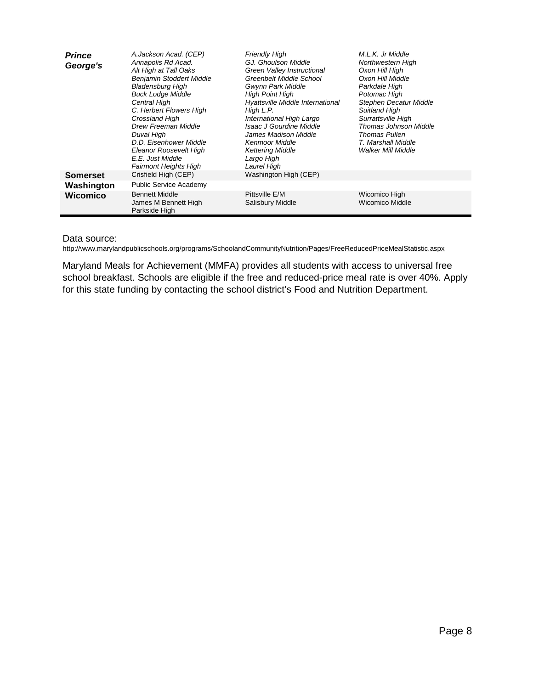| <b>Prince</b><br>George's | A.Jackson Acad. (CEP)<br>Annapolis Rd Acad.<br>Alt High at Tall Oaks<br><b>Benjamin Stoddert Middle</b><br>Bladensburg High<br><b>Buck Lodge Middle</b><br>Central High<br>C. Herbert Flowers High<br>Crossland High<br>Drew Freeman Middle<br>Duval Hiqh<br>D.D. Eisenhower Middle<br>Eleanor Roosevelt High<br>E.E. Just Middle<br>Fairmont Heights High | <b>Friendly High</b><br>GJ. Ghoulson Middle<br>Green Valley Instructional<br>Greenbelt Middle School<br>Gwynn Park Middle<br><b>High Point High</b><br>Hyattsville Middle International<br>High L.P.<br>International High Largo<br>Isaac J Gourdine Middle<br>James Madison Middle<br><b>Kenmoor Middle</b><br><b>Kettering Middle</b><br>Largo High<br>Laurel High | M.L.K. Jr Middle<br>Northwestern High<br>Oxon Hill High<br>Oxon Hill Middle<br>Parkdale High<br>Potomac High<br><b>Stephen Decatur Middle</b><br>Suitland High<br>Surrattsville High<br>Thomas Johnson Middle<br><b>Thomas Pullen</b><br>T. Marshall Middle<br><b>Walker Mill Middle</b> |
|---------------------------|------------------------------------------------------------------------------------------------------------------------------------------------------------------------------------------------------------------------------------------------------------------------------------------------------------------------------------------------------------|----------------------------------------------------------------------------------------------------------------------------------------------------------------------------------------------------------------------------------------------------------------------------------------------------------------------------------------------------------------------|------------------------------------------------------------------------------------------------------------------------------------------------------------------------------------------------------------------------------------------------------------------------------------------|
| <b>Somerset</b>           | Crisfield High (CEP)                                                                                                                                                                                                                                                                                                                                       | Washington High (CEP)                                                                                                                                                                                                                                                                                                                                                |                                                                                                                                                                                                                                                                                          |
| Washington                | <b>Public Service Academy</b>                                                                                                                                                                                                                                                                                                                              |                                                                                                                                                                                                                                                                                                                                                                      |                                                                                                                                                                                                                                                                                          |
| <b>Wicomico</b>           | <b>Bennett Middle</b><br>James M Bennett High<br>Parkside High                                                                                                                                                                                                                                                                                             | Pittsville E/M<br>Salisbury Middle                                                                                                                                                                                                                                                                                                                                   | Wicomico High<br>Wicomico Middle                                                                                                                                                                                                                                                         |

#### Data source:

<http://www.marylandpublicschools.org/programs/SchoolandCommunityNutrition/Pages/FreeReducedPriceMealStatistic.aspx>

Maryland Meals for Achievement (MMFA) provides all students with access to universal free school breakfast. Schools are eligible if the free and reduced-price meal rate is over 40%. Apply for this state funding by contacting the school district's Food and Nutrition Department.